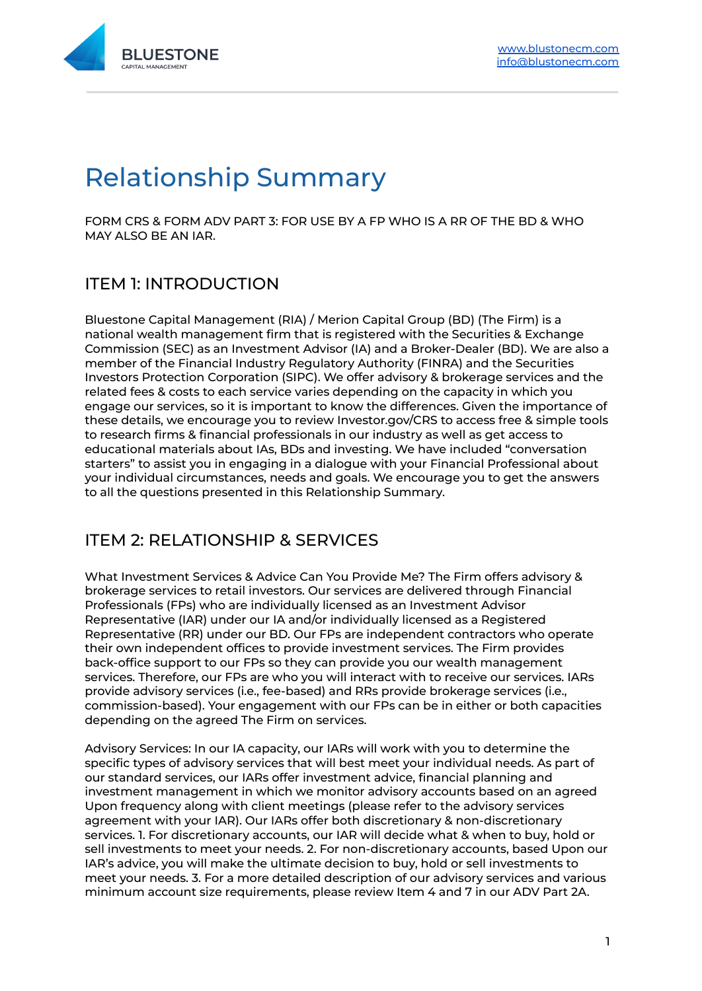

# Relationship Summary

FORM CRS & FORM ADV PART 3: FOR USE BY A FP WHO IS A RR OF THE BD & WHO MAY ALSO BE AN IAR.

# ITEM 1: INTRODUCTION

Bluestone Capital Management (RIA) / Merion Capital Group (BD) (The Firm) is a national wealth management firm that is registered with the Securities & Exchange Commission (SEC) as an Investment Advisor (IA) and a Broker-Dealer (BD). We are also a member of the Financial Industry Regulatory Authority (FINRA) and the Securities Investors Protection Corporation (SIPC). We offer advisory & brokerage services and the related fees & costs to each service varies depending on the capacity in which you engage our services, so it is important to know the differences. Given the importance of these details, we encourage you to review Investor.gov/CRS to access free & simple tools to research firms & financial professionals in our industry as well as get access to educational materials about IAs, BDs and investing. We have included "conversation starters" to assist you in engaging in a dialogue with your Financial Professional about your individual circumstances, needs and goals. We encourage you to get the answers to all the questions presented in this Relationship Summary.

# ITEM 2: RELATIONSHIP & SERVICES

What Investment Services & Advice Can You Provide Me? The Firm offers advisory & brokerage services to retail investors. Our services are delivered through Financial Professionals (FPs) who are individually licensed as an Investment Advisor Representative (IAR) under our IA and/or individually licensed as a Registered Representative (RR) under our BD. Our FPs are independent contractors who operate their own independent offices to provide investment services. The Firm provides back-office support to our FPs so they can provide you our wealth management services. Therefore, our FPs are who you will interact with to receive our services. IARs provide advisory services (i.e., fee-based) and RRs provide brokerage services (i.e., commission-based). Your engagement with our FPs can be in either or both capacities depending on the agreed The Firm on services.

Advisory Services: In our IA capacity, our IARs will work with you to determine the specific types of advisory services that will best meet your individual needs. As part of our standard services, our IARs offer investment advice, financial planning and investment management in which we monitor advisory accounts based on an agreed Upon frequency along with client meetings (please refer to the advisory services agreement with your IAR). Our IARs offer both discretionary & non-discretionary services. 1. For discretionary accounts, our IAR will decide what & when to buy, hold or sell investments to meet your needs. 2. For non-discretionary accounts, based Upon our IAR's advice, you will make the ultimate decision to buy, hold or sell investments to meet your needs. 3. For a more detailed description of our advisory services and various minimum account size requirements, please review Item 4 and 7 in our ADV Part 2A.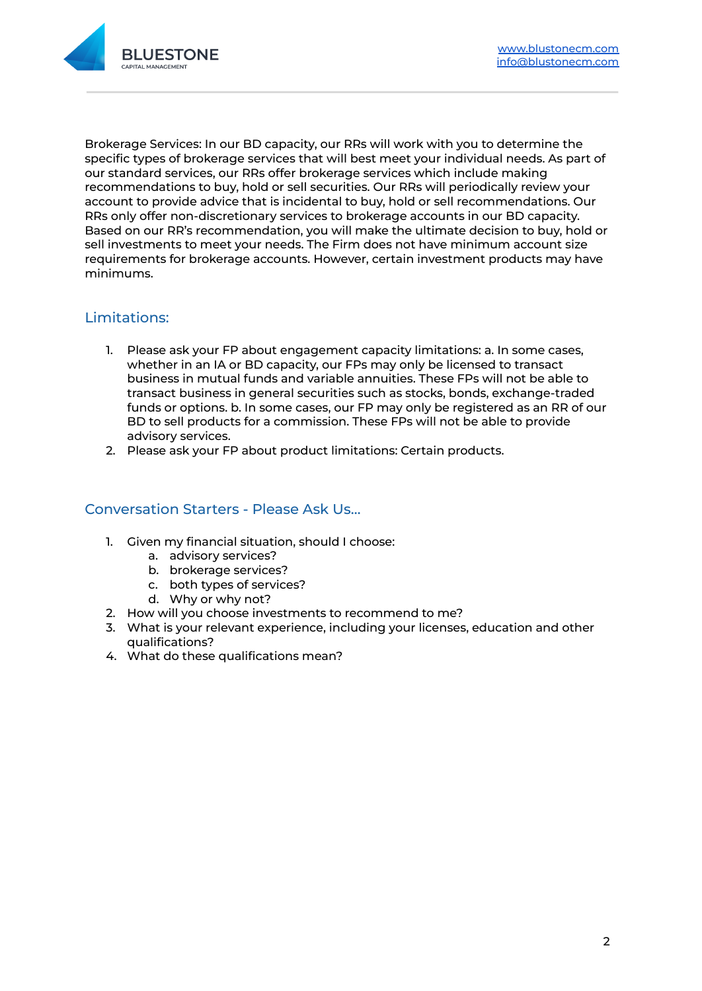

Brokerage Services: In our BD capacity, our RRs will work with you to determine the specific types of brokerage services that will best meet your individual needs. As part of our standard services, our RRs offer brokerage services which include making recommendations to buy, hold or sell securities. Our RRs will periodically review your account to provide advice that is incidental to buy, hold or sell recommendations. Our RRs only offer non-discretionary services to brokerage accounts in our BD capacity. Based on our RR's recommendation, you will make the ultimate decision to buy, hold or sell investments to meet your needs. The Firm does not have minimum account size requirements for brokerage accounts. However, certain investment products may have minimums.

## Limitations:

- 1. Please ask your FP about engagement capacity limitations: a. In some cases, whether in an IA or BD capacity, our FPs may only be licensed to transact business in mutual funds and variable annuities. These FPs will not be able to transact business in general securities such as stocks, bonds, exchange-traded funds or options. b. In some cases, our FP may only be registered as an RR of our BD to sell products for a commission. These FPs will not be able to provide advisory services.
- 2. Please ask your FP about product limitations: Certain products.

## Conversation Starters - Please Ask Us…

- 1. Given my financial situation, should I choose:
	- a. advisory services?
	- b. brokerage services?
	- c. both types of services?
	- d. Why or why not?
- 2. How will you choose investments to recommend to me?
- 3. What is your relevant experience, including your licenses, education and other qualifications?
- 4. What do these qualifications mean?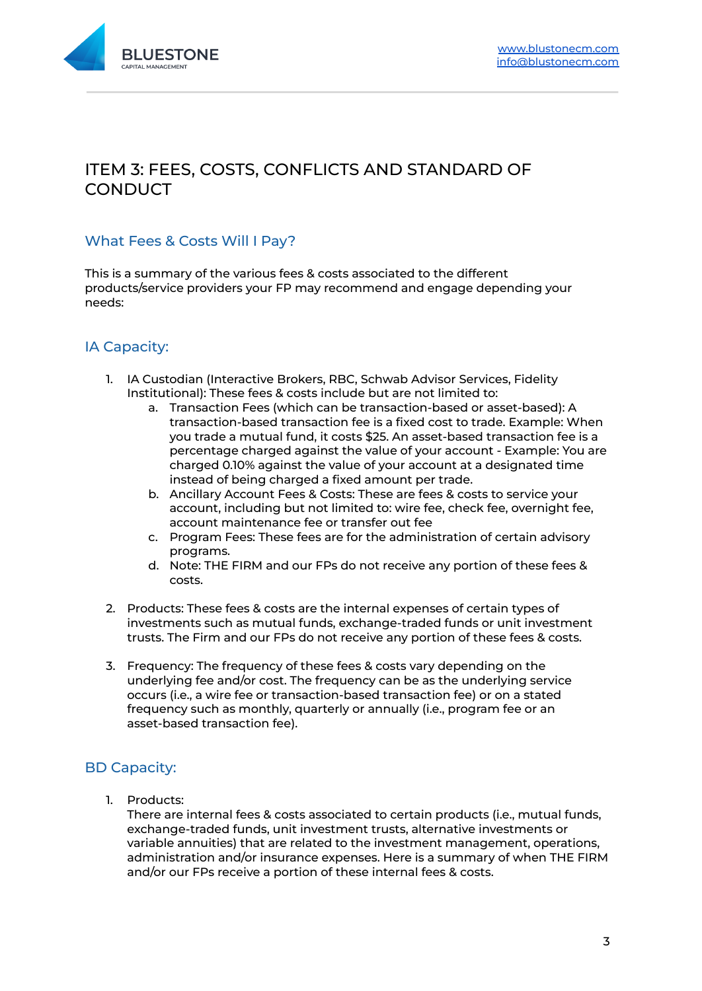

# ITEM 3: FEES, COSTS, CONFLICTS AND STANDARD OF **CONDUCT**

## What Fees & Costs Will I Pay?

This is a summary of the various fees & costs associated to the different products/service providers your FP may recommend and engage depending your needs:

## IA Capacity:

- 1. IA Custodian (Interactive Brokers, RBC, Schwab Advisor Services, Fidelity Institutional): These fees & costs include but are not limited to:
	- a. Transaction Fees (which can be transaction-based or asset-based): A transaction-based transaction fee is a fixed cost to trade. Example: When you trade a mutual fund, it costs \$25. An asset-based transaction fee is a percentage charged against the value of your account - Example: You are charged 0.10% against the value of your account at a designated time instead of being charged a fixed amount per trade.
	- b. Ancillary Account Fees & Costs: These are fees & costs to service your account, including but not limited to: wire fee, check fee, overnight fee, account maintenance fee or transfer out fee
	- c. Program Fees: These fees are for the administration of certain advisory programs.
	- d. Note: THE FIRM and our FPs do not receive any portion of these fees & costs.
- 2. Products: These fees & costs are the internal expenses of certain types of investments such as mutual funds, exchange-traded funds or unit investment trusts. The Firm and our FPs do not receive any portion of these fees & costs.
- 3. Frequency: The frequency of these fees & costs vary depending on the underlying fee and/or cost. The frequency can be as the underlying service occurs (i.e., a wire fee or transaction-based transaction fee) or on a stated frequency such as monthly, quarterly or annually (i.e., program fee or an asset-based transaction fee).

## BD Capacity:

1. Products:

There are internal fees & costs associated to certain products (i.e., mutual funds, exchange-traded funds, unit investment trusts, alternative investments or variable annuities) that are related to the investment management, operations, administration and/or insurance expenses. Here is a summary of when THE FIRM and/or our FPs receive a portion of these internal fees & costs.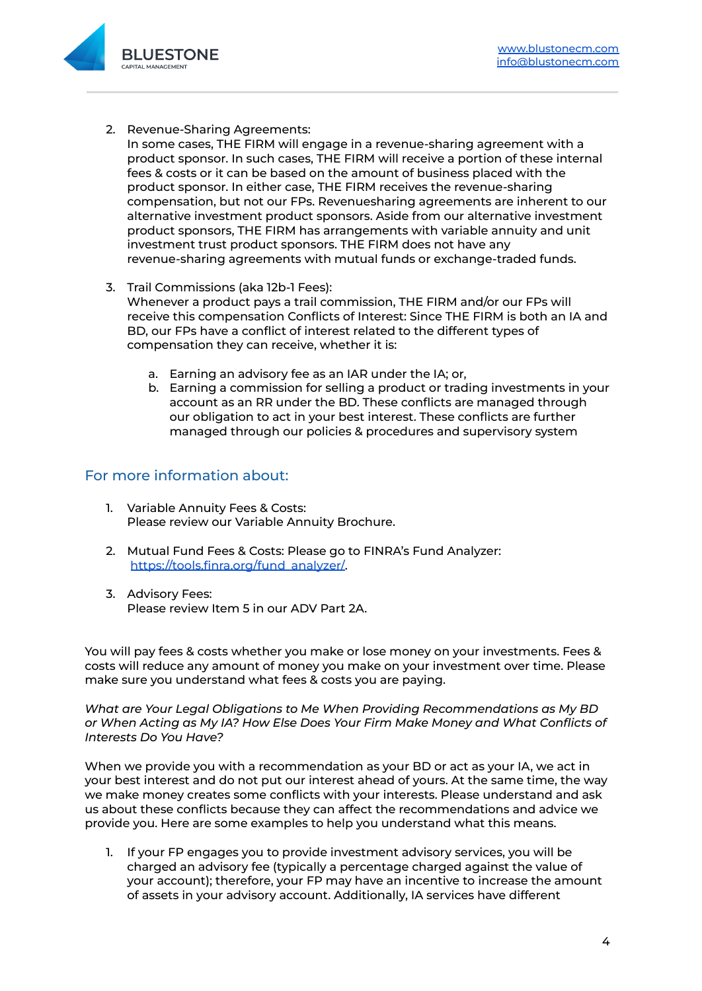

2. Revenue-Sharing Agreements:

In some cases, THE FIRM will engage in a revenue-sharing agreement with a product sponsor. In such cases, THE FIRM will receive a portion of these internal fees & costs or it can be based on the amount of business placed with the product sponsor. In either case, THE FIRM receives the revenue-sharing compensation, but not our FPs. Revenuesharing agreements are inherent to our alternative investment product sponsors. Aside from our alternative investment product sponsors, THE FIRM has arrangements with variable annuity and unit investment trust product sponsors. THE FIRM does not have any revenue-sharing agreements with mutual funds or exchange-traded funds.

- 3. Trail Commissions (aka 12b-1 Fees): Whenever a product pays a trail commission, THE FIRM and/or our FPs will receive this compensation Conflicts of Interest: Since THE FIRM is both an IA and BD, our FPs have a conflict of interest related to the different types of compensation they can receive, whether it is:
	- a. Earning an advisory fee as an IAR under the IA; or,
	- b. Earning a commission for selling a product or trading investments in your account as an RR under the BD. These conflicts are managed through our obligation to act in your best interest. These conflicts are further managed through our policies & procedures and supervisory system

#### For more information about:

- 1. Variable Annuity Fees & Costs: Please review our Variable Annuity Brochure.
- 2. Mutual Fund Fees & Costs: Please go to FINRA's Fund Analyzer: [https://tools.finra.org/fund\\_analyzer/.](https://tools.finra.org/fund_analyzer/)
- 3. Advisory Fees: Please review Item 5 in our ADV Part 2A.

You will pay fees & costs whether you make or lose money on your investments. Fees & costs will reduce any amount of money you make on your investment over time. Please make sure you understand what fees & costs you are paying.

*What are Your Legal Obligations to Me When Providing Recommendations as My BD or When Acting as My IA? How Else Does Your Firm Make Money and What Conflicts of Interests Do You Have?*

When we provide you with a recommendation as your BD or act as your IA, we act in your best interest and do not put our interest ahead of yours. At the same time, the way we make money creates some conflicts with your interests. Please understand and ask us about these conflicts because they can affect the recommendations and advice we provide you. Here are some examples to help you understand what this means.

1. If your FP engages you to provide investment advisory services, you will be charged an advisory fee (typically a percentage charged against the value of your account); therefore, your FP may have an incentive to increase the amount of assets in your advisory account. Additionally, IA services have different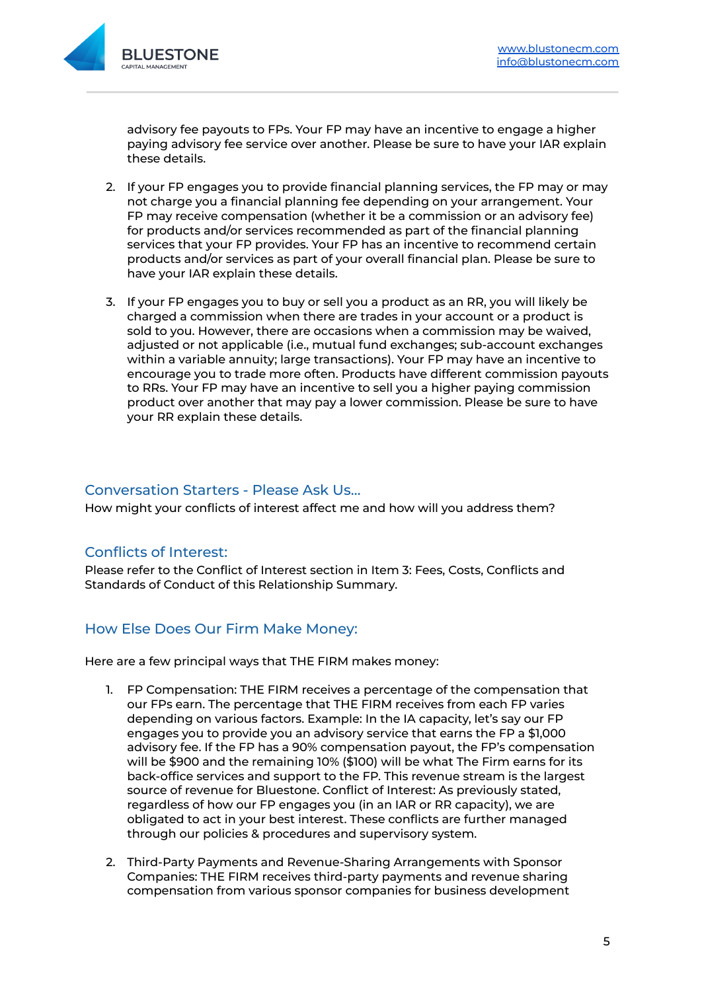

advisory fee payouts to FPs. Your FP may have an incentive to engage a higher paying advisory fee service over another. Please be sure to have your IAR explain these details.

- 2. If your FP engages you to provide financial planning services, the FP may or may not charge you a financial planning fee depending on your arrangement. Your FP may receive compensation (whether it be a commission or an advisory fee) for products and/or services recommended as part of the financial planning services that your FP provides. Your FP has an incentive to recommend certain products and/or services as part of your overall financial plan. Please be sure to have your IAR explain these details.
- 3. If your FP engages you to buy or sell you a product as an RR, you will likely be charged a commission when there are trades in your account or a product is sold to you. However, there are occasions when a commission may be waived, adjusted or not applicable (i.e., mutual fund exchanges; sub-account exchanges within a variable annuity; large transactions). Your FP may have an incentive to encourage you to trade more often. Products have different commission payouts to RRs. Your FP may have an incentive to sell you a higher paying commission product over another that may pay a lower commission. Please be sure to have your RR explain these details.

#### Conversation Starters - Please Ask Us…

How might your conflicts of interest affect me and how will you address them?

#### Conflicts of Interest:

Please refer to the Conflict of Interest section in Item 3: Fees, Costs, Conflicts and Standards of Conduct of this Relationship Summary.

#### How Else Does Our Firm Make Money:

Here are a few principal ways that THE FIRM makes money:

- 1. FP Compensation: THE FIRM receives a percentage of the compensation that our FPs earn. The percentage that THE FIRM receives from each FP varies depending on various factors. Example: In the IA capacity, let's say our FP engages you to provide you an advisory service that earns the FP a \$1,000 advisory fee. If the FP has a 90% compensation payout, the FP's compensation will be \$900 and the remaining 10% (\$100) will be what The Firm earns for its back-office services and support to the FP. This revenue stream is the largest source of revenue for Bluestone. Conflict of Interest: As previously stated, regardless of how our FP engages you (in an IAR or RR capacity), we are obligated to act in your best interest. These conflicts are further managed through our policies & procedures and supervisory system.
- 2. Third-Party Payments and Revenue-Sharing Arrangements with Sponsor Companies: THE FIRM receives third-party payments and revenue sharing compensation from various sponsor companies for business development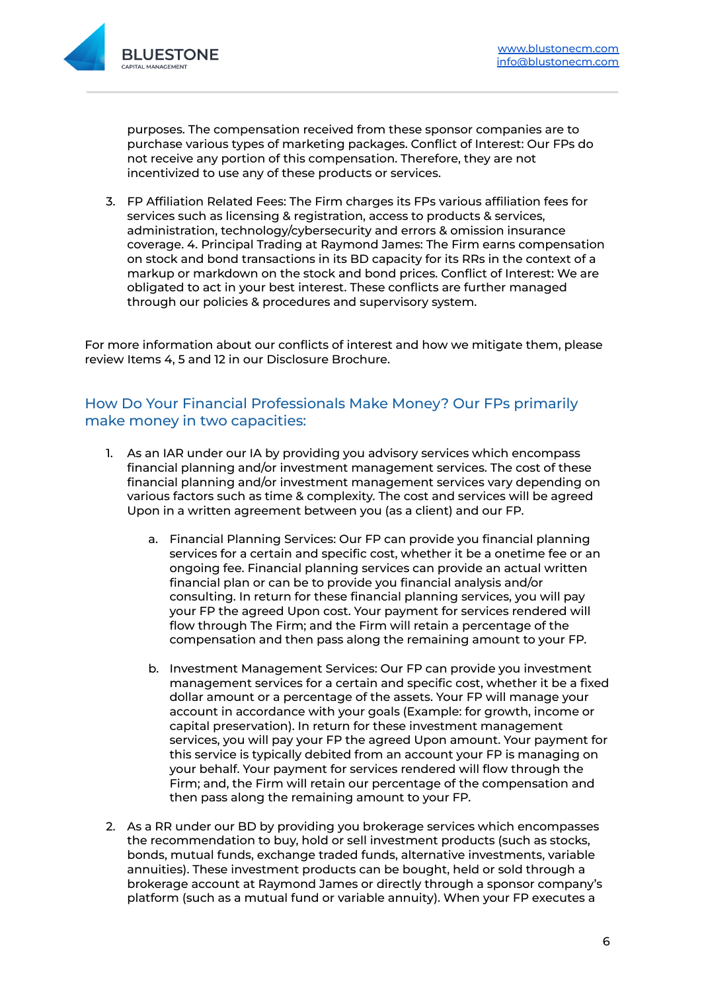

purposes. The compensation received from these sponsor companies are to purchase various types of marketing packages. Conflict of Interest: Our FPs do not receive any portion of this compensation. Therefore, they are not incentivized to use any of these products or services.

3. FP Affiliation Related Fees: The Firm charges its FPs various affiliation fees for services such as licensing & registration, access to products & services, administration, technology/cybersecurity and errors & omission insurance coverage. 4. Principal Trading at Raymond James: The Firm earns compensation on stock and bond transactions in its BD capacity for its RRs in the context of a markup or markdown on the stock and bond prices. Conflict of Interest: We are obligated to act in your best interest. These conflicts are further managed through our policies & procedures and supervisory system.

For more information about our conflicts of interest and how we mitigate them, please review Items 4, 5 and 12 in our Disclosure Brochure.

#### How Do Your Financial Professionals Make Money? Our FPs primarily make money in two capacities:

- 1. As an IAR under our IA by providing you advisory services which encompass financial planning and/or investment management services. The cost of these financial planning and/or investment management services vary depending on various factors such as time & complexity. The cost and services will be agreed Upon in a written agreement between you (as a client) and our FP.
	- a. Financial Planning Services: Our FP can provide you financial planning services for a certain and specific cost, whether it be a onetime fee or an ongoing fee. Financial planning services can provide an actual written financial plan or can be to provide you financial analysis and/or consulting. In return for these financial planning services, you will pay your FP the agreed Upon cost. Your payment for services rendered will flow through The Firm; and the Firm will retain a percentage of the compensation and then pass along the remaining amount to your FP.
	- b. Investment Management Services: Our FP can provide you investment management services for a certain and specific cost, whether it be a fixed dollar amount or a percentage of the assets. Your FP will manage your account in accordance with your goals (Example: for growth, income or capital preservation). In return for these investment management services, you will pay your FP the agreed Upon amount. Your payment for this service is typically debited from an account your FP is managing on your behalf. Your payment for services rendered will flow through the Firm; and, the Firm will retain our percentage of the compensation and then pass along the remaining amount to your FP.
- 2. As a RR under our BD by providing you brokerage services which encompasses the recommendation to buy, hold or sell investment products (such as stocks, bonds, mutual funds, exchange traded funds, alternative investments, variable annuities). These investment products can be bought, held or sold through a brokerage account at Raymond James or directly through a sponsor company's platform (such as a mutual fund or variable annuity). When your FP executes a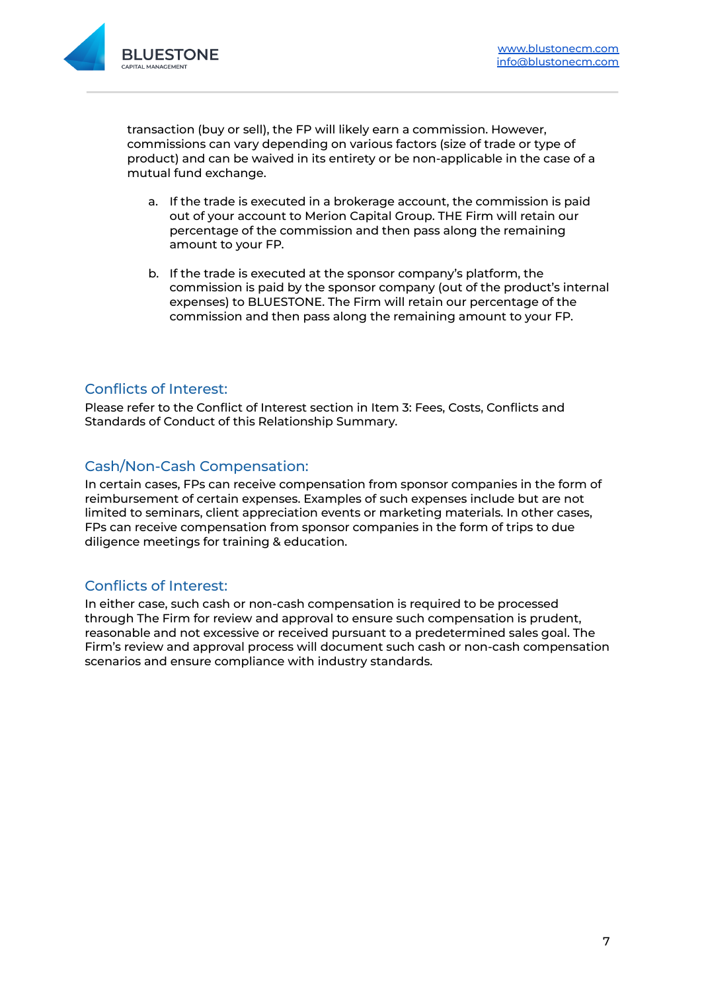

transaction (buy or sell), the FP will likely earn a commission. However, commissions can vary depending on various factors (size of trade or type of product) and can be waived in its entirety or be non-applicable in the case of a mutual fund exchange.

- a. If the trade is executed in a brokerage account, the commission is paid out of your account to Merion Capital Group. THE Firm will retain our percentage of the commission and then pass along the remaining amount to your FP.
- b. If the trade is executed at the sponsor company's platform, the commission is paid by the sponsor company (out of the product's internal expenses) to BLUESTONE. The Firm will retain our percentage of the commission and then pass along the remaining amount to your FP.

#### Conflicts of Interest:

Please refer to the Conflict of Interest section in Item 3: Fees, Costs, Conflicts and Standards of Conduct of this Relationship Summary.

#### Cash/Non-Cash Compensation:

In certain cases, FPs can receive compensation from sponsor companies in the form of reimbursement of certain expenses. Examples of such expenses include but are not limited to seminars, client appreciation events or marketing materials. In other cases, FPs can receive compensation from sponsor companies in the form of trips to due diligence meetings for training & education.

#### Conflicts of Interest:

In either case, such cash or non-cash compensation is required to be processed through The Firm for review and approval to ensure such compensation is prudent, reasonable and not excessive or received pursuant to a predetermined sales goal. The Firm's review and approval process will document such cash or non-cash compensation scenarios and ensure compliance with industry standards.